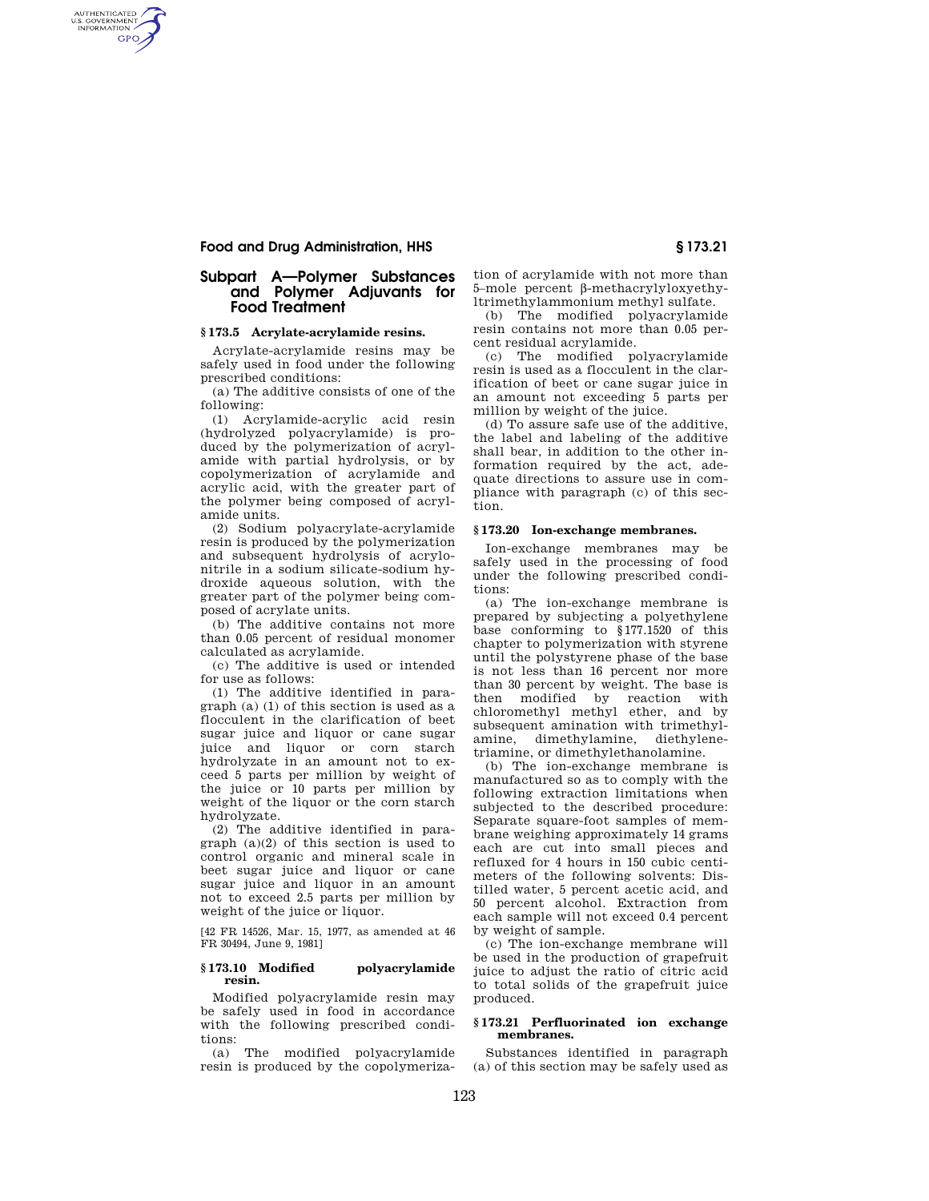### **Food and Drug Administration, HHS § 173.21**

AUTHENTICATED<br>U.S. GOVERNMENT<br>INFORMATION **GPO** 

## **Subpart A—Polymer Substances and Polymer Adjuvants for Food Treatment**

#### **§ 173.5 Acrylate-acrylamide resins.**

Acrylate-acrylamide resins may be safely used in food under the following prescribed conditions:

(a) The additive consists of one of the following:

(1) Acrylamide-acrylic acid resin (hydrolyzed polyacrylamide) is produced by the polymerization of acrylamide with partial hydrolysis, or by copolymerization of acrylamide and acrylic acid, with the greater part of the polymer being composed of acrylamide units.

(2) Sodium polyacrylate-acrylamide resin is produced by the polymerization and subsequent hydrolysis of acrylonitrile in a sodium silicate-sodium hydroxide aqueous solution, with the greater part of the polymer being composed of acrylate units.

(b) The additive contains not more than 0.05 percent of residual monomer calculated as acrylamide.

(c) The additive is used or intended for use as follows:

(1) The additive identified in paragraph (a) (1) of this section is used as a flocculent in the clarification of beet sugar juice and liquor or cane sugar juice and liquor or corn starch hydrolyzate in an amount not to exceed 5 parts per million by weight of the juice or 10 parts per million by weight of the liquor or the corn starch hydrolyzate.

(2) The additive identified in paragraph (a)(2) of this section is used to control organic and mineral scale in beet sugar juice and liquor or cane sugar juice and liquor in an amount not to exceed 2.5 parts per million by weight of the juice or liquor.

[42 FR 14526, Mar. 15, 1977, as amended at 46 FR 30494, June 9, 1981]

#### **§ 173.10 Modified polyacrylamide resin.**

Modified polyacrylamide resin may be safely used in food in accordance with the following prescribed conditions:

(a) The modified polyacrylamide resin is produced by the copolymeriza-

tion of acrylamide with not more than 5–mole percent b-methacrylyloxyethyltrimethylammonium methyl sulfate.

(b) The modified polyacrylamide resin contains not more than 0.05 percent residual acrylamide.

(c) The modified polyacrylamide resin is used as a flocculent in the clarification of beet or cane sugar juice in an amount not exceeding 5 parts per million by weight of the juice.

(d) To assure safe use of the additive, the label and labeling of the additive shall bear, in addition to the other information required by the act, adequate directions to assure use in compliance with paragraph (c) of this section.

#### **§ 173.20 Ion-exchange membranes.**

Ion-exchange membranes may be safely used in the processing of food under the following prescribed conditions:

(a) The ion-exchange membrane is prepared by subjecting a polyethylene base conforming to §177.1520 of this chapter to polymerization with styrene until the polystyrene phase of the base is not less than 16 percent nor more than 30 percent by weight. The base is then modified by reaction with chloromethyl methyl ether, and by subsequent amination with trimethylamine, dimethylamine, diethylenetriamine, or dimethylethanolamine.

(b) The ion-exchange membrane is manufactured so as to comply with the following extraction limitations when subjected to the described procedure: Separate square-foot samples of membrane weighing approximately 14 grams each are cut into small pieces and refluxed for 4 hours in 150 cubic centimeters of the following solvents: Distilled water, 5 percent acetic acid, and 50 percent alcohol. Extraction from each sample will not exceed 0.4 percent by weight of sample.

(c) The ion-exchange membrane will be used in the production of grapefruit juice to adjust the ratio of citric acid to total solids of the grapefruit juice produced.

#### **§ 173.21 Perfluorinated ion exchange membranes.**

Substances identified in paragraph (a) of this section may be safely used as